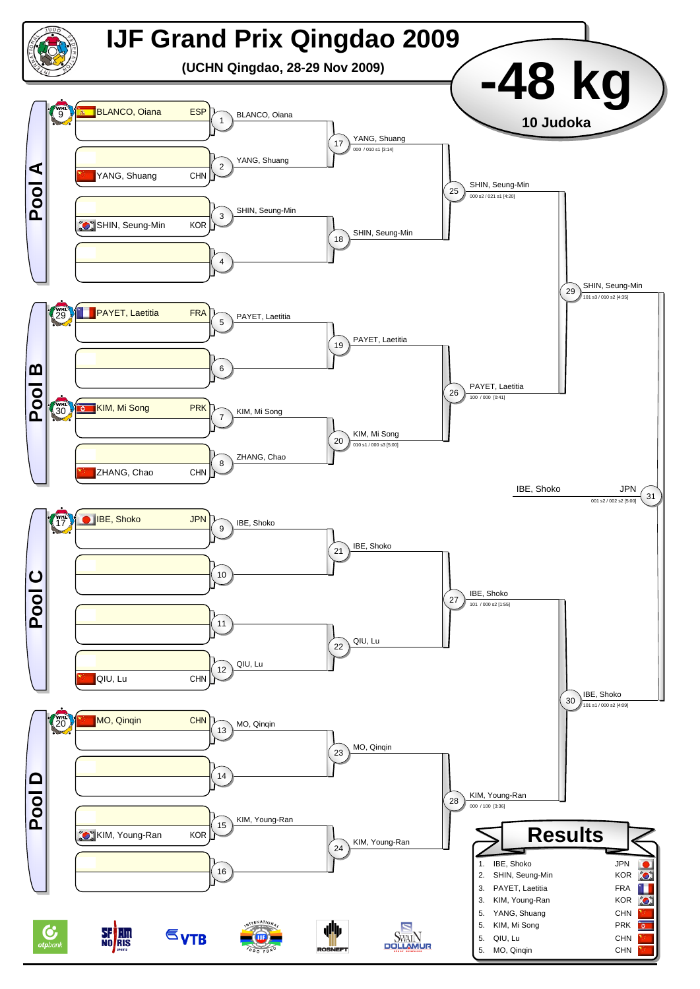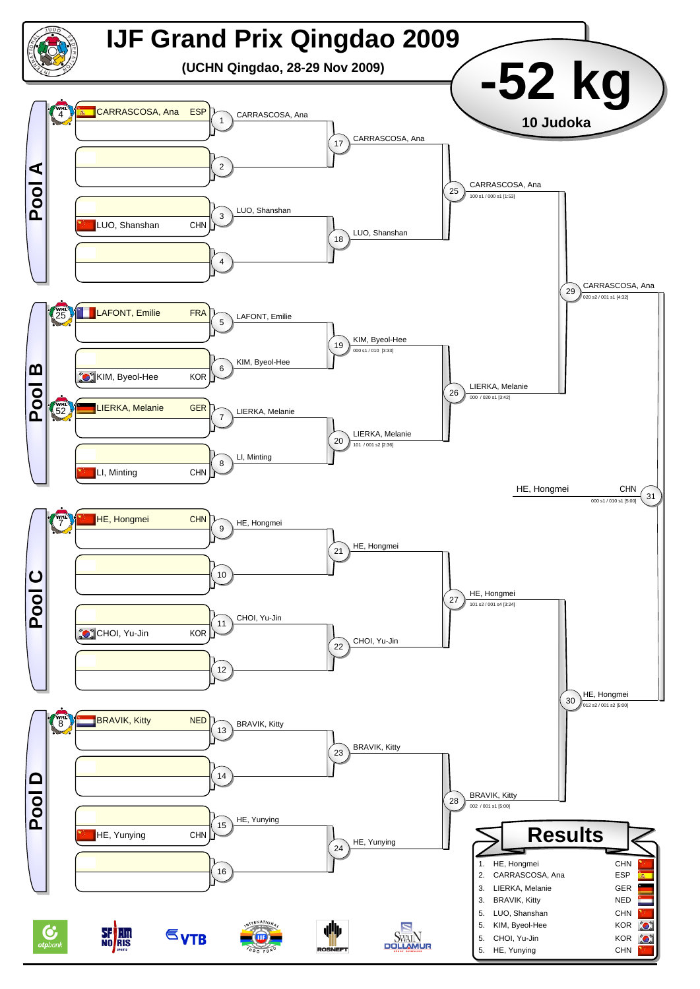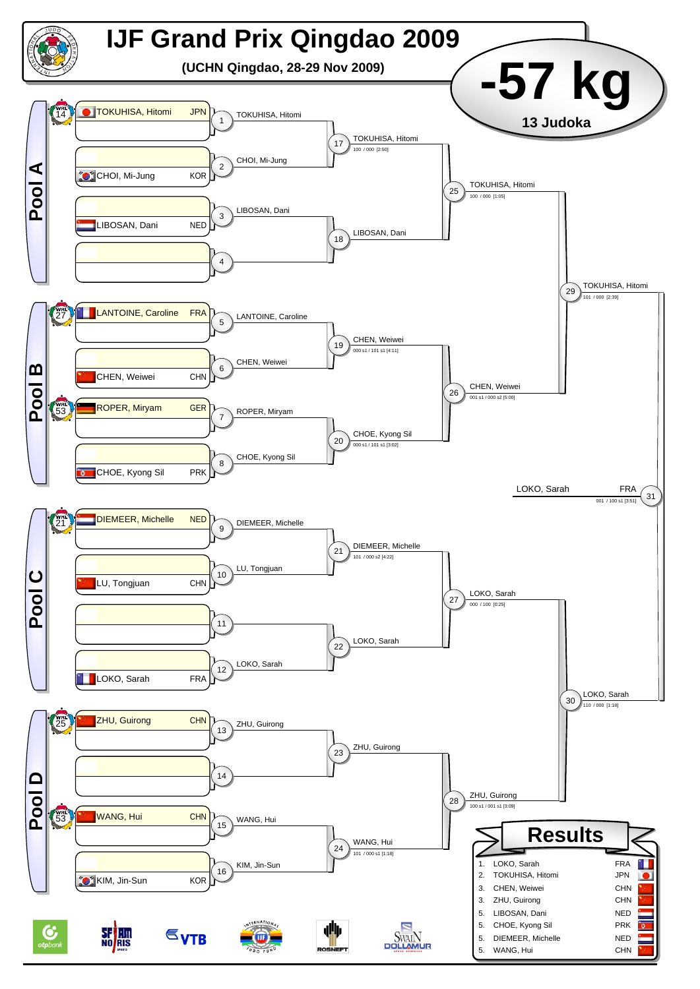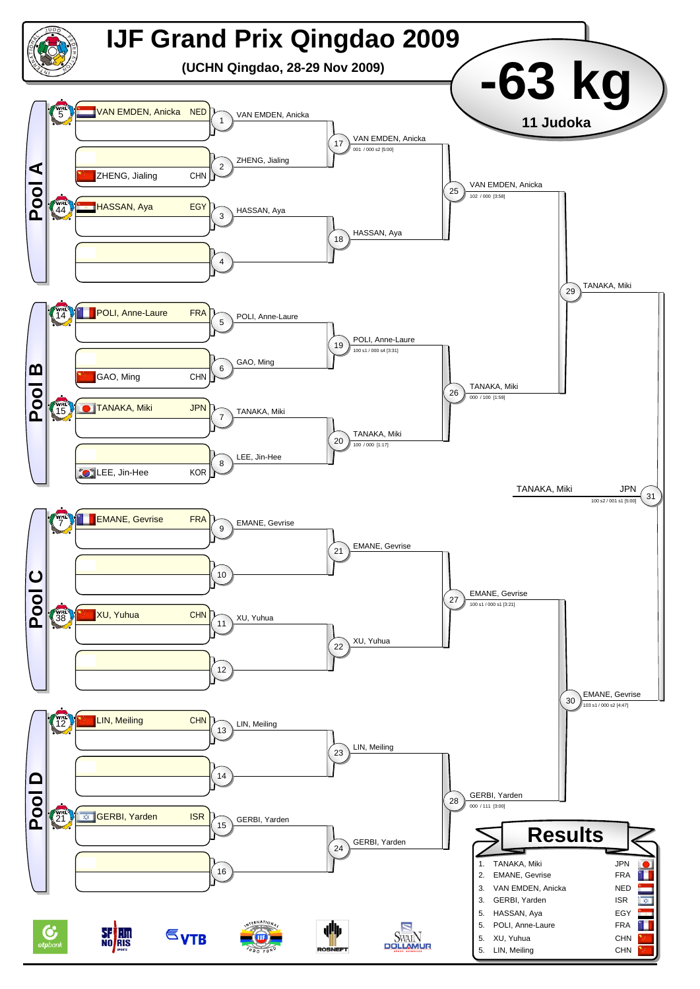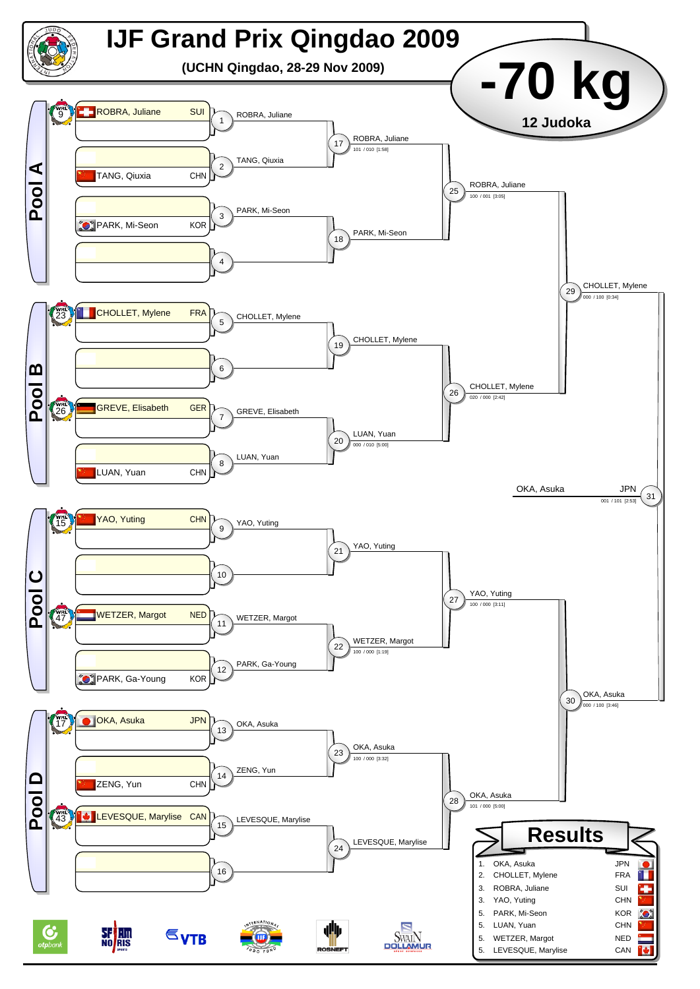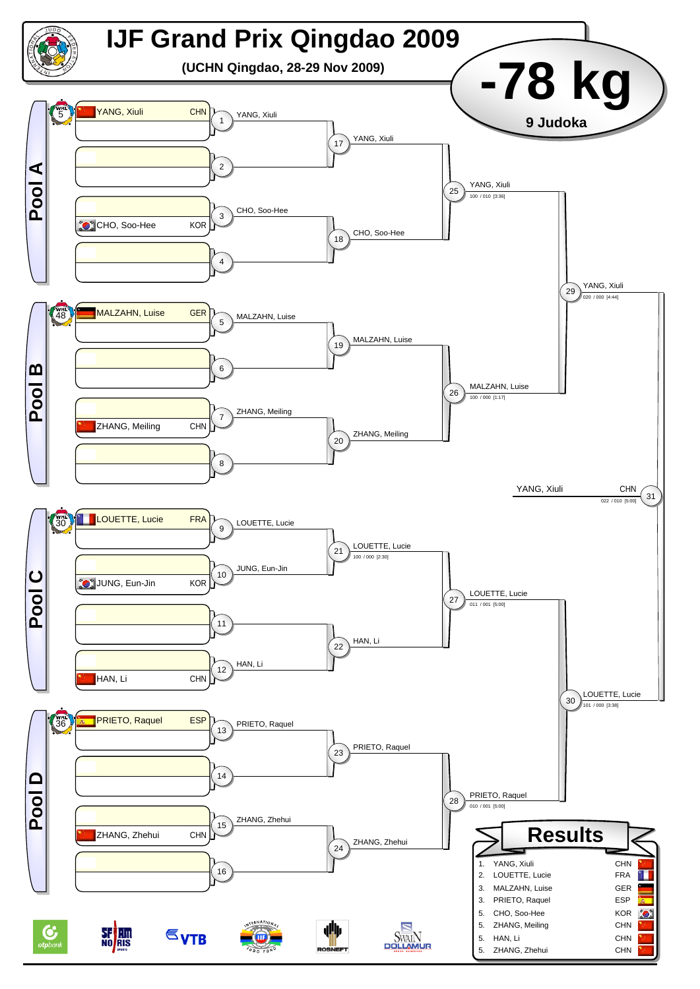